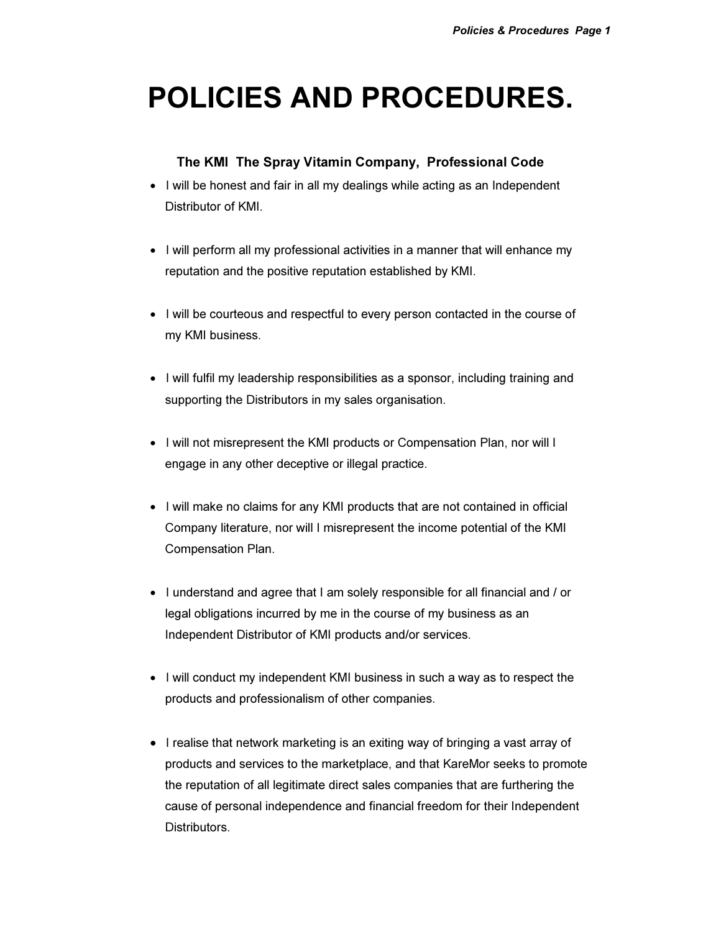# POLICIES AND PROCEDURES.

# The KMI The Spray Vitamin Company, Professional Code

- I will be honest and fair in all my dealings while acting as an Independent Distributor of KMI.
- I will perform all my professional activities in a manner that will enhance my reputation and the positive reputation established by KMI.
- I will be courteous and respectful to every person contacted in the course of my KMI business.
- I will fulfil my leadership responsibilities as a sponsor, including training and supporting the Distributors in my sales organisation.
- I will not misrepresent the KMI products or Compensation Plan, nor will I engage in any other deceptive or illegal practice.
- I will make no claims for any KMI products that are not contained in official Company literature, nor will I misrepresent the income potential of the KMI Compensation Plan.
- I understand and agree that I am solely responsible for all financial and / or legal obligations incurred by me in the course of my business as an Independent Distributor of KMI products and/or services.
- I will conduct my independent KMI business in such a way as to respect the products and professionalism of other companies.
- I realise that network marketing is an exiting way of bringing a vast array of products and services to the marketplace, and that KareMor seeks to promote the reputation of all legitimate direct sales companies that are furthering the cause of personal independence and financial freedom for their Independent **Distributors**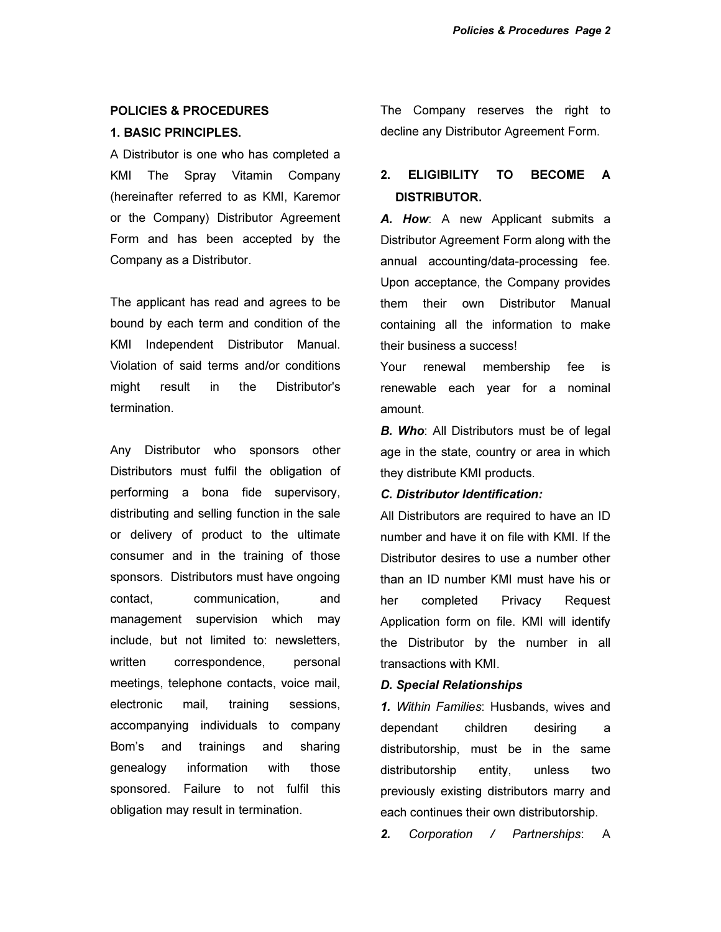#### POLICIES & PROCEDURES

#### 1. BASIC PRINCIPLES.

A Distributor is one who has completed a KMI The Spray Vitamin Company (hereinafter referred to as KMI, Karemor or the Company) Distributor Agreement Form and has been accepted by the Company as a Distributor.

The applicant has read and agrees to be bound by each term and condition of the KMI Independent Distributor Manual. Violation of said terms and/or conditions might result in the Distributor's termination.

Any Distributor who sponsors other Distributors must fulfil the obligation of performing a bona fide supervisory, distributing and selling function in the sale or delivery of product to the ultimate consumer and in the training of those sponsors. Distributors must have ongoing contact, communication, and management supervision which may include, but not limited to: newsletters, written correspondence, personal meetings, telephone contacts, voice mail, electronic mail, training sessions, accompanying individuals to company Bom's and trainings and sharing genealogy information with those sponsored. Failure to not fulfil this obligation may result in termination.

The Company reserves the right to decline any Distributor Agreement Form.

# 2. ELIGIBILITY TO BECOME A DISTRIBUTOR.

*A. How*: A new Applicant submits a Distributor Agreement Form along with the annual accounting/data-processing fee. Upon acceptance, the Company provides them their own Distributor Manual containing all the information to make their business a success!

Your renewal membership fee is renewable each year for a nominal amount.

*B. Who:* All Distributors must be of legal age in the state, country or area in which they distribute KMI products.

## *C. Distributor Identification:*

All Distributors are required to have an ID number and have it on file with KMI. If the Distributor desires to use a number other than an ID number KMI must have his or her completed Privacy Request Application form on file. KMI will identify the Distributor by the number in all transactions with KMI.

#### *D. Special Relationships*

*1.* Within Families: Husbands, wives and dependant children desiring a distributorship, must be in the same distributorship entity, unless two previously existing distributors marry and each continues their own distributorship.

*2.* Corporation / Partnerships: A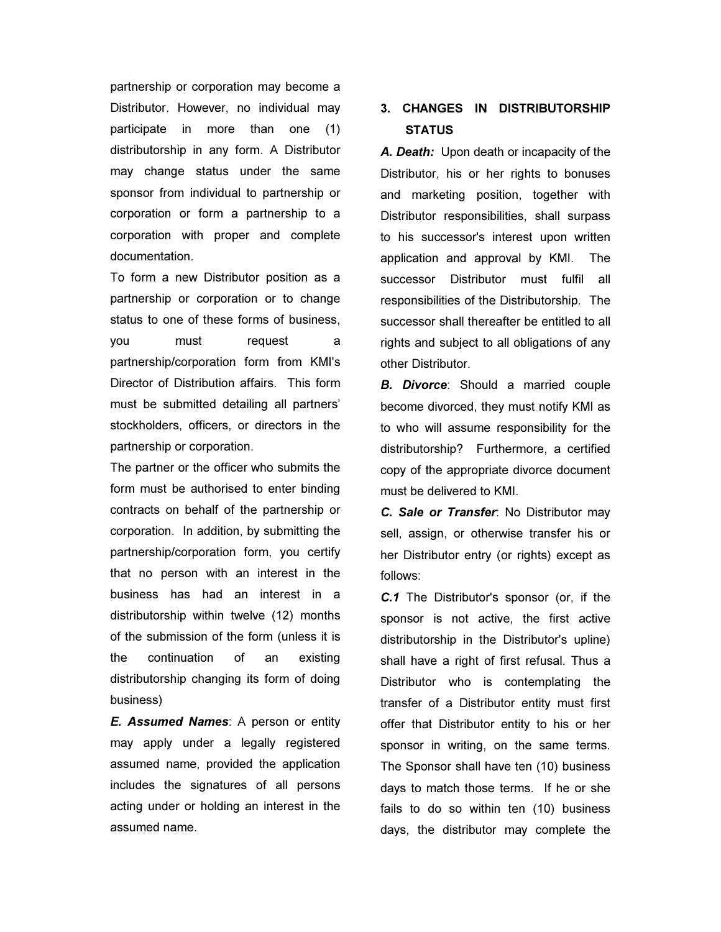partnership or corporation may become a Distributor. However, no individual may participate in more than one (1) distributorship in any form. A Distributor may change status under the same sponsor from individual to partnership or corporation or form a partnership to a corporation with proper and complete documentation.

To form a new Distributor position as a partnership or corporation or to change status to one of these forms of business, you must request a partnership/corporation form from KMI's Director of Distribution affairs. This form must be submitted detailing all partners' stockholders, officers, or directors in the partnership or corporation.

The partner or the officer who submits the form must be authorised to enter binding contracts on behalf of the partnership or corporation. In addition, by submitting the partnership/corporation form, you certify that no person with an interest in the business has had an interest in a distributorship within twelve (12) months of the submission of the form (unless it is the continuation of an existing distributorship changing its form of doing business)

*E. Assumed Names*: A person or entity may apply under a legally registered assumed name, provided the application includes the signatures of all persons acting under or holding an interest in the assumed name.

# 3. CHANGES IN DISTRIBUTORSHIP **STATUS**

*A. Death:* Upon death or incapacity of the Distributor, his or her rights to bonuses and marketing position, together with Distributor responsibilities, shall surpass to his successor's interest upon written application and approval by KMI. The successor Distributor must fulfil all responsibilities of the Distributorship. The successor shall thereafter be entitled to all rights and subject to all obligations of any other Distributor.

*B. Divorce*: Should a married couple become divorced, they must notify KMI as to who will assume responsibility for the distributorship? Furthermore, a certified copy of the appropriate divorce document must be delivered to KMI.

*C. Sale or Transfer*: No Distributor may sell, assign, or otherwise transfer his or her Distributor entry (or rights) except as follows:

*C.1* The Distributor's sponsor (or, if the sponsor is not active, the first active distributorship in the Distributor's upline) shall have a right of first refusal. Thus a Distributor who is contemplating the transfer of a Distributor entity must first offer that Distributor entity to his or her sponsor in writing, on the same terms. The Sponsor shall have ten (10) business days to match those terms. If he or she fails to do so within ten (10) business days, the distributor may complete the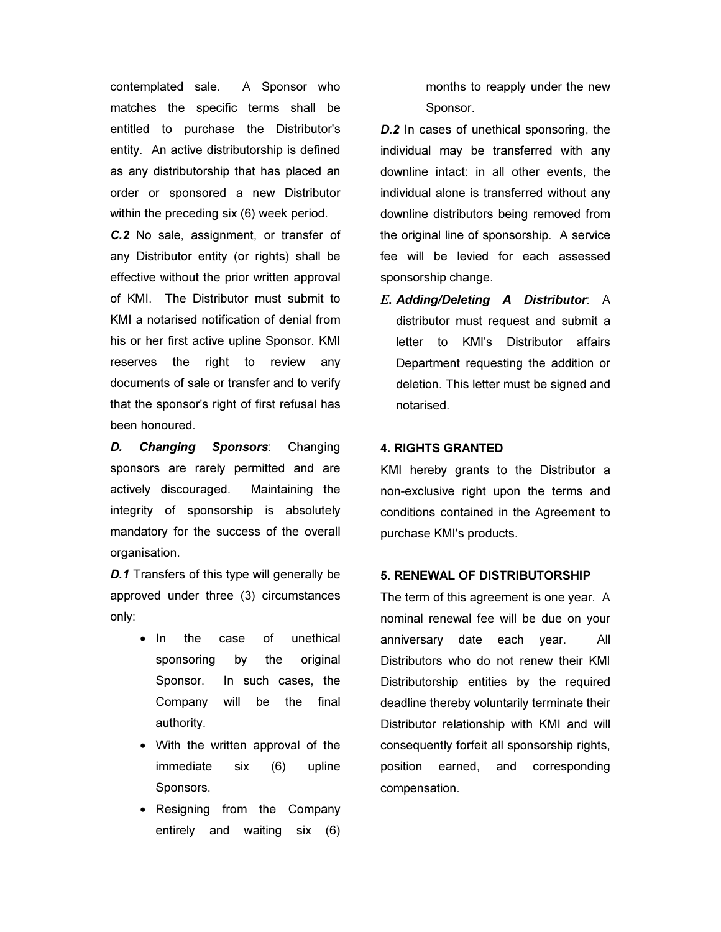contemplated sale. A Sponsor who matches the specific terms shall be entitled to purchase the Distributor's entity. An active distributorship is defined as any distributorship that has placed an order or sponsored a new Distributor within the preceding six (6) week period.

*C.2* No sale, assignment, or transfer of any Distributor entity (or rights) shall be effective without the prior written approval of KMI. The Distributor must submit to KMI a notarised notification of denial from his or her first active upline Sponsor. KMI reserves the right to review any documents of sale or transfer and to verify that the sponsor's right of first refusal has been honoured.

*D. Changing Sponsors*: Changing sponsors are rarely permitted and are actively discouraged. Maintaining the integrity of sponsorship is absolutely mandatory for the success of the overall organisation.

*D.1* Transfers of this type will generally be approved under three (3) circumstances only:

- In the case of unethical sponsoring by the original Sponsor. In such cases, the Company will be the final authority.
- With the written approval of the immediate six (6) upline Sponsors.
- Resigning from the Company entirely and waiting six (6)

months to reapply under the new Sponsor.

*D.2* In cases of unethical sponsoring, the individual may be transferred with any downline intact: in all other events, the individual alone is transferred without any downline distributors being removed from the original line of sponsorship. A service fee will be levied for each assessed sponsorship change.

E. *Adding/Deleting A Distributor*: A distributor must request and submit a letter to KMI's Distributor affairs Department requesting the addition or deletion. This letter must be signed and notarised.

## 4. RIGHTS GRANTED

KMI hereby grants to the Distributor a non-exclusive right upon the terms and conditions contained in the Agreement to purchase KMI's products.

## 5. RENEWAL OF DISTRIBUTORSHIP

The term of this agreement is one year. A nominal renewal fee will be due on your anniversary date each year. All Distributors who do not renew their KMI Distributorship entities by the required deadline thereby voluntarily terminate their Distributor relationship with KMI and will consequently forfeit all sponsorship rights, position earned, and corresponding compensation.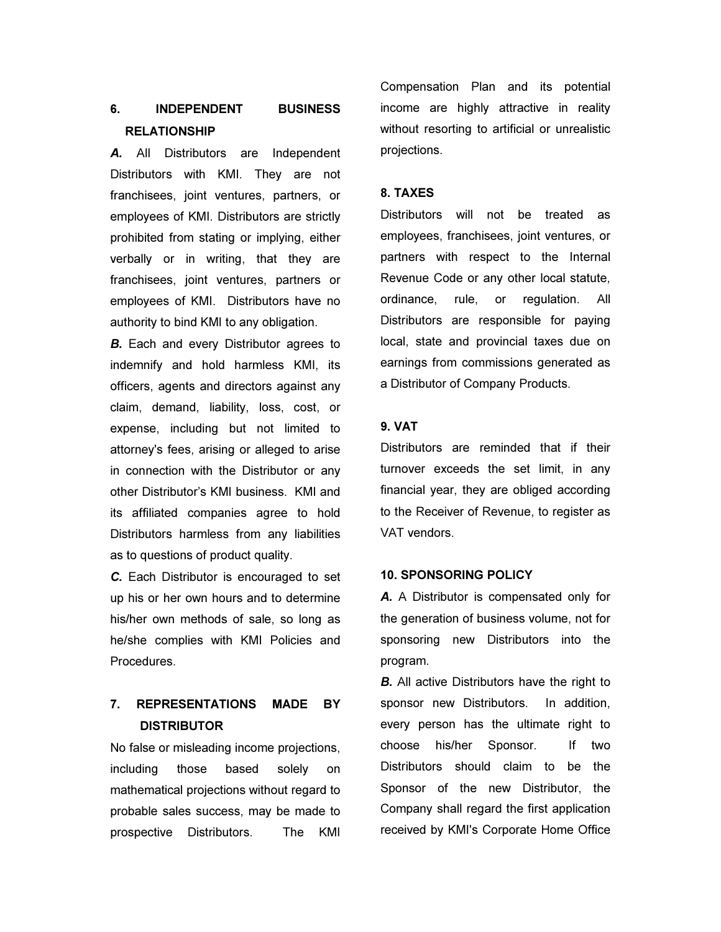# 6. INDEPENDENT BUSINESS RELATIONSHIP

*A.* All Distributors are Independent Distributors with KMI. They are not franchisees, joint ventures, partners, or employees of KMI. Distributors are strictly prohibited from stating or implying, either verbally or in writing, that they are franchisees, joint ventures, partners or employees of KMI. Distributors have no authority to bind KMI to any obligation.

*B.* Each and every Distributor agrees to indemnify and hold harmless KMI, its officers, agents and directors against any claim, demand, liability, loss, cost, or expense, including but not limited to attorney's fees, arising or alleged to arise in connection with the Distributor or any other Distributor's KMI business. KMI and its affiliated companies agree to hold Distributors harmless from any liabilities as to questions of product quality.

*C.* Each Distributor is encouraged to set up his or her own hours and to determine his/her own methods of sale, so long as he/she complies with KMI Policies and Procedures.

# 7. REPRESENTATIONS MADE BY **DISTRIBUTOR**

No false or misleading income projections, including those based solely on mathematical projections without regard to probable sales success, may be made to prospective Distributors. The KMI Compensation Plan and its potential income are highly attractive in reality without resorting to artificial or unrealistic projections.

## 8. TAXES

Distributors will not be treated as employees, franchisees, joint ventures, or partners with respect to the Internal Revenue Code or any other local statute, ordinance, rule, or regulation. All Distributors are responsible for paying local, state and provincial taxes due on earnings from commissions generated as a Distributor of Company Products.

# 9. VAT

Distributors are reminded that if their turnover exceeds the set limit, in any financial year, they are obliged according to the Receiver of Revenue, to register as VAT vendors.

## 10. SPONSORING POLICY

*A.* A Distributor is compensated only for the generation of business volume, not for sponsoring new Distributors into the program.

*B.* All active Distributors have the right to sponsor new Distributors. In addition, every person has the ultimate right to choose his/her Sponsor. If two Distributors should claim to be the Sponsor of the new Distributor, the Company shall regard the first application received by KMI's Corporate Home Office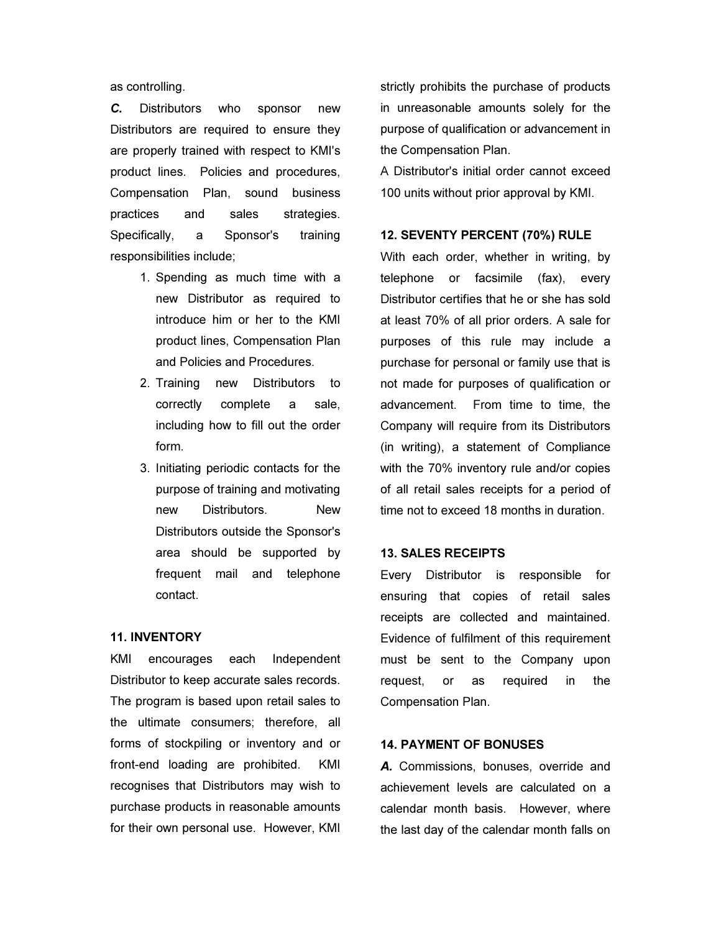as controlling.

*C.* Distributors who sponsor new Distributors are required to ensure they are properly trained with respect to KMI's product lines. Policies and procedures, Compensation Plan, sound business practices and sales strategies. Specifically, a Sponsor's training responsibilities include;

- 1. Spending as much time with a new Distributor as required to introduce him or her to the KMI product lines, Compensation Plan and Policies and Procedures.
- 2. Training new Distributors to correctly complete a sale, including how to fill out the order form.
- 3. Initiating periodic contacts for the purpose of training and motivating new Distributors. New Distributors outside the Sponsor's area should be supported by frequent mail and telephone contact.

#### 11. INVENTORY

KMI encourages each Independent Distributor to keep accurate sales records. The program is based upon retail sales to the ultimate consumers; therefore, all forms of stockpiling or inventory and or front-end loading are prohibited. KMI recognises that Distributors may wish to purchase products in reasonable amounts for their own personal use. However, KMI

strictly prohibits the purchase of products in unreasonable amounts solely for the purpose of qualification or advancement in the Compensation Plan.

A Distributor's initial order cannot exceed 100 units without prior approval by KMI.

## 12. SEVENTY PERCENT (70%) RULE

With each order, whether in writing, by telephone or facsimile (fax), every Distributor certifies that he or she has sold at least 70% of all prior orders. A sale for purposes of this rule may include a purchase for personal or family use that is not made for purposes of qualification or advancement. From time to time, the Company will require from its Distributors (in writing), a statement of Compliance with the 70% inventory rule and/or copies of all retail sales receipts for a period of time not to exceed 18 months in duration.

#### 13. SALES RECEIPTS

Every Distributor is responsible for ensuring that copies of retail sales receipts are collected and maintained. Evidence of fulfilment of this requirement must be sent to the Company upon request, or as required in the Compensation Plan.

## 14. PAYMENT OF BONUSES

*A.* Commissions, bonuses, override and achievement levels are calculated on a calendar month basis. However, where the last day of the calendar month falls on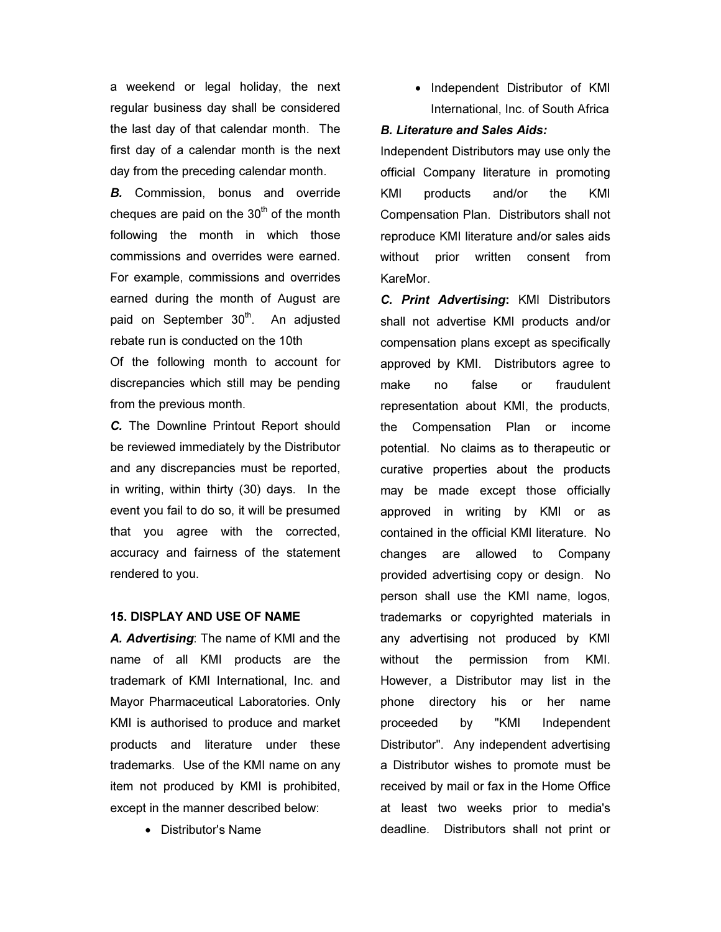a weekend or legal holiday, the next regular business day shall be considered the last day of that calendar month. The first day of a calendar month is the next day from the preceding calendar month.

*B.* Commission, bonus and override cheques are paid on the  $30<sup>th</sup>$  of the month following the month in which those commissions and overrides were earned. For example, commissions and overrides earned during the month of August are paid on September 30<sup>th</sup>. An adjusted rebate run is conducted on the 10th

Of the following month to account for discrepancies which still may be pending from the previous month.

*C.* The Downline Printout Report should be reviewed immediately by the Distributor and any discrepancies must be reported, in writing, within thirty (30) days. In the event you fail to do so, it will be presumed that you agree with the corrected, accuracy and fairness of the statement rendered to you.

## 15. DISPLAY AND USE OF NAME

*A. Advertising*: The name of KMI and the name of all KMI products are the trademark of KMI International, Inc. and Mayor Pharmaceutical Laboratories. Only KMI is authorised to produce and market products and literature under these trademarks. Use of the KMI name on any item not produced by KMI is prohibited, except in the manner described below:

• Distributor's Name

• Independent Distributor of KMI International, Inc. of South Africa

## *B. Literature and Sales Aids:*

Independent Distributors may use only the official Company literature in promoting KMI products and/or the KMI Compensation Plan. Distributors shall not reproduce KMI literature and/or sales aids without prior written consent from KareMor.

*C. Print Advertising*: KMI Distributors shall not advertise KMI products and/or compensation plans except as specifically approved by KMI. Distributors agree to make no false or fraudulent representation about KMI, the products, the Compensation Plan or income potential. No claims as to therapeutic or curative properties about the products may be made except those officially approved in writing by KMI or as contained in the official KMI literature. No changes are allowed to Company provided advertising copy or design. No person shall use the KMI name, logos, trademarks or copyrighted materials in any advertising not produced by KMI without the permission from KMI. However, a Distributor may list in the phone directory his or her name proceeded by "KMI Independent Distributor". Any independent advertising a Distributor wishes to promote must be received by mail or fax in the Home Office at least two weeks prior to media's deadline. Distributors shall not print or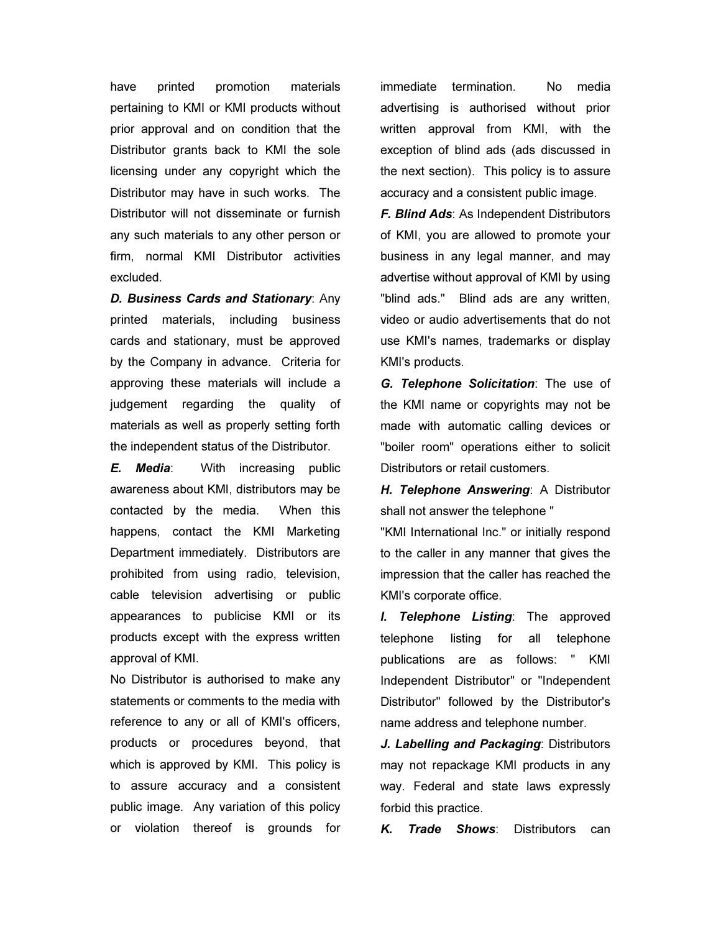have printed promotion materials pertaining to KMI or KMI products without prior approval and on condition that the Distributor grants back to KMI the sole licensing under any copyright which the Distributor may have in such works. The Distributor will not disseminate or furnish any such materials to any other person or firm, normal KMI Distributor activities excluded.

*D. Business Cards and Stationary*: Any printed materials, including business cards and stationary, must be approved by the Company in advance. Criteria for approving these materials will include a judgement regarding the quality of materials as well as properly setting forth the independent status of the Distributor.

*E. Media*: With increasing public awareness about KMI, distributors may be contacted by the media. When this happens, contact the KMI Marketing Department immediately. Distributors are prohibited from using radio, television, cable television advertising or public appearances to publicise KMI or its products except with the express written approval of KMI.

No Distributor is authorised to make any statements or comments to the media with reference to any or all of KMI's officers, products or procedures beyond, that which is approved by KMI. This policy is to assure accuracy and a consistent public image. Any variation of this policy or violation thereof is grounds for

immediate termination. No media advertising is authorised without prior written approval from KMI, with the exception of blind ads (ads discussed in the next section). This policy is to assure accuracy and a consistent public image.

*F. Blind Ads*: As Independent Distributors of KMI, you are allowed to promote your business in any legal manner, and may advertise without approval of KMI by using "blind ads." Blind ads are any written, video or audio advertisements that do not use KMI's names, trademarks or display KMI's products.

*G. Telephone Solicitation*: The use of the KMI name or copyrights may not be made with automatic calling devices or "boiler room" operations either to solicit Distributors or retail customers.

*H. Telephone Answering*: A Distributor shall not answer the telephone "

"KMI International Inc." or initially respond to the caller in any manner that gives the impression that the caller has reached the KMI's corporate office.

*I. Telephone Listing*: The approved telephone listing for all telephone publications are as follows: " KMI Independent Distributor" or "Independent Distributor" followed by the Distributor's name address and telephone number.

*J. Labelling and Packaging*: Distributors may not repackage KMI products in any way. Federal and state laws expressly forbid this practice.

*K. Trade Shows*: Distributors can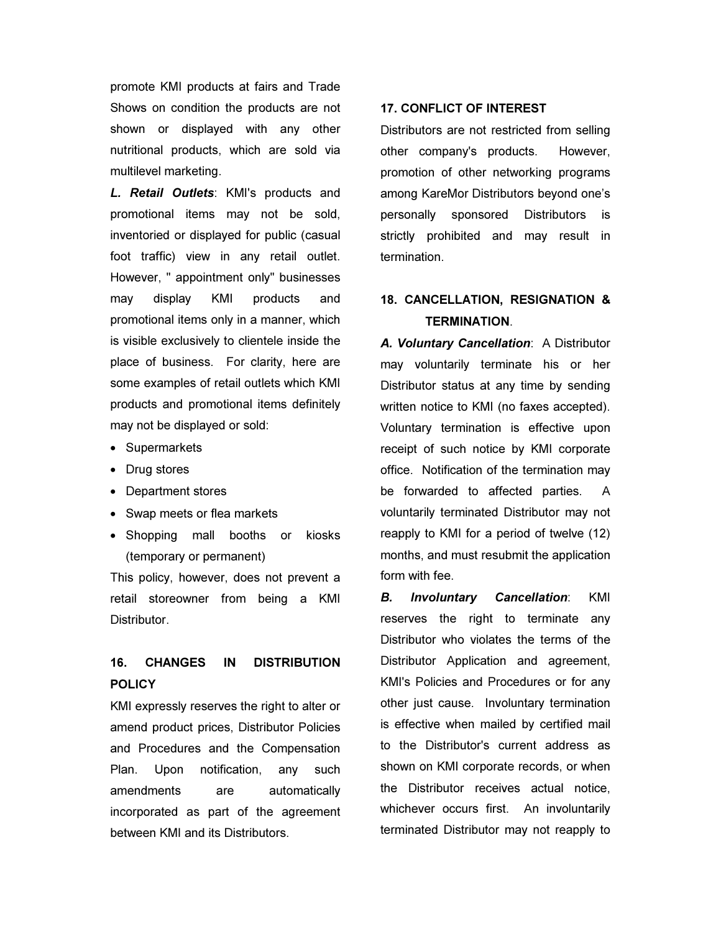promote KMI products at fairs and Trade Shows on condition the products are not shown or displayed with any other nutritional products, which are sold via multilevel marketing.

*L. Retail Outlets*: KMI's products and promotional items may not be sold, inventoried or displayed for public (casual foot traffic) view in any retail outlet. However, " appointment only" businesses may display KMI products and promotional items only in a manner, which is visible exclusively to clientele inside the place of business. For clarity, here are some examples of retail outlets which KMI products and promotional items definitely may not be displayed or sold:

- Supermarkets
- Drug stores
- Department stores
- Swap meets or flea markets
- Shopping mall booths or kiosks (temporary or permanent)

This policy, however, does not prevent a retail storeowner from being a KMI Distributor.

# 16. CHANGES IN DISTRIBUTION POLICY

KMI expressly reserves the right to alter or amend product prices, Distributor Policies and Procedures and the Compensation Plan. Upon notification, any such amendments are automatically incorporated as part of the agreement between KMI and its Distributors.

#### 17. CONFLICT OF INTEREST

Distributors are not restricted from selling other company's products. However, promotion of other networking programs among KareMor Distributors beyond one's personally sponsored Distributors is strictly prohibited and may result in termination.

# 18. CANCELLATION, RESIGNATION & TERMINATION.

*A. Voluntary Cancellation*: A Distributor may voluntarily terminate his or her Distributor status at any time by sending written notice to KMI (no faxes accepted). Voluntary termination is effective upon receipt of such notice by KMI corporate office. Notification of the termination may be forwarded to affected parties. A voluntarily terminated Distributor may not reapply to KMI for a period of twelve (12) months, and must resubmit the application form with fee.

*B. Involuntary Cancellation*: KMI reserves the right to terminate any Distributor who violates the terms of the Distributor Application and agreement, KMI's Policies and Procedures or for any other just cause. Involuntary termination is effective when mailed by certified mail to the Distributor's current address as shown on KMI corporate records, or when the Distributor receives actual notice, whichever occurs first. An involuntarily terminated Distributor may not reapply to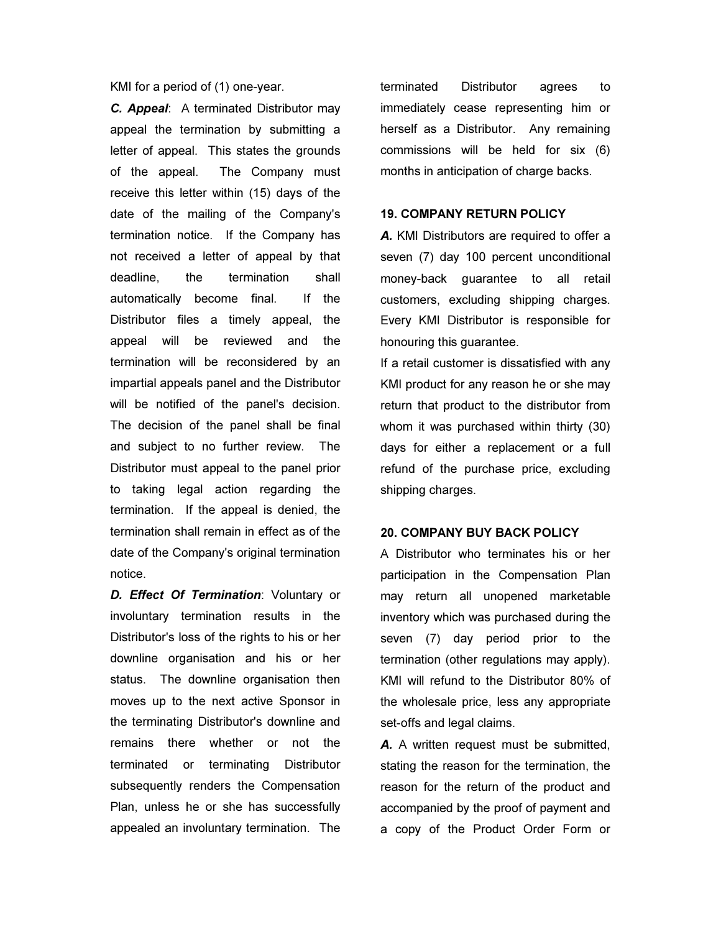KMI for a period of (1) one-year.

*C. Appeal*: A terminated Distributor may appeal the termination by submitting a letter of appeal. This states the grounds of the appeal. The Company must receive this letter within (15) days of the date of the mailing of the Company's termination notice. If the Company has not received a letter of appeal by that deadline, the termination shall automatically become final. If the Distributor files a timely appeal, the appeal will be reviewed and the termination will be reconsidered by an impartial appeals panel and the Distributor will be notified of the panel's decision. The decision of the panel shall be final and subject to no further review. The Distributor must appeal to the panel prior to taking legal action regarding the termination. If the appeal is denied, the termination shall remain in effect as of the date of the Company's original termination notice.

*D. Effect Of Termination*: Voluntary or involuntary termination results in the Distributor's loss of the rights to his or her downline organisation and his or her status. The downline organisation then moves up to the next active Sponsor in the terminating Distributor's downline and remains there whether or not the terminated or terminating Distributor subsequently renders the Compensation Plan, unless he or she has successfully appealed an involuntary termination. The

terminated Distributor agrees to immediately cease representing him or herself as a Distributor. Any remaining commissions will be held for six (6) months in anticipation of charge backs.

#### 19. COMPANY RETURN POLICY

A. KMI Distributors are required to offer a seven (7) day 100 percent unconditional money-back guarantee to all retail customers, excluding shipping charges. Every KMI Distributor is responsible for honouring this guarantee.

If a retail customer is dissatisfied with any KMI product for any reason he or she may return that product to the distributor from whom it was purchased within thirty (30) days for either a replacement or a full refund of the purchase price, excluding shipping charges.

#### 20. COMPANY BUY BACK POLICY

A Distributor who terminates his or her participation in the Compensation Plan may return all unopened marketable inventory which was purchased during the seven (7) day period prior to the termination (other regulations may apply). KMI will refund to the Distributor 80% of the wholesale price, less any appropriate set-offs and legal claims.

*A.* A written request must be submitted, stating the reason for the termination, the reason for the return of the product and accompanied by the proof of payment and a copy of the Product Order Form or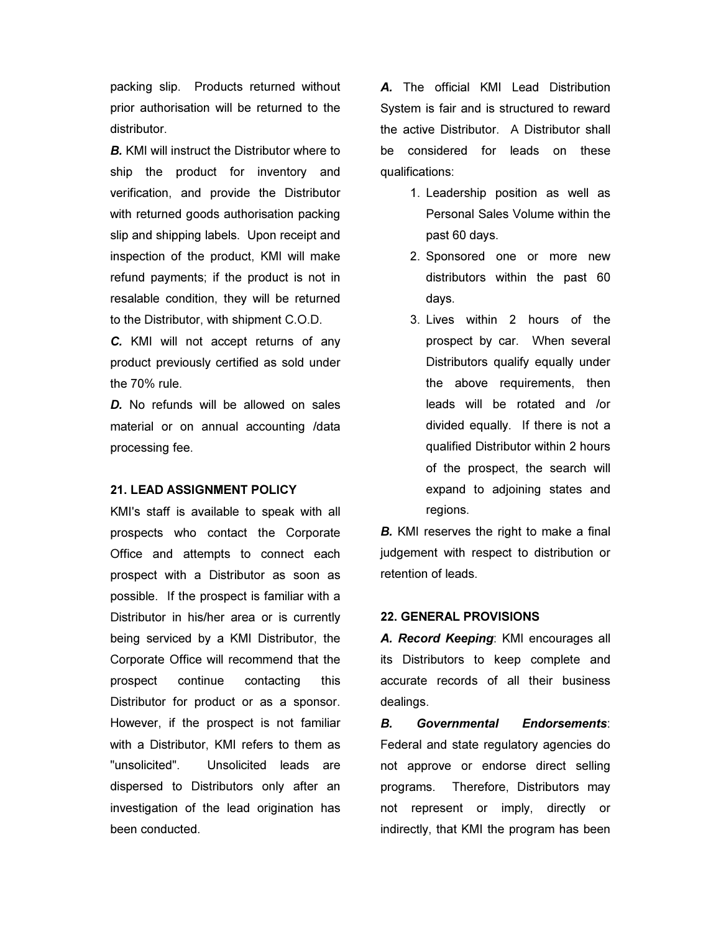packing slip. Products returned without prior authorisation will be returned to the distributor.

*B.* KMI will instruct the Distributor where to ship the product for inventory and verification, and provide the Distributor with returned goods authorisation packing slip and shipping labels. Upon receipt and inspection of the product, KMI will make refund payments; if the product is not in resalable condition, they will be returned to the Distributor, with shipment C.O.D.

*C.* KMI will not accept returns of any product previously certified as sold under the 70% rule.

*D.* No refunds will be allowed on sales material or on annual accounting /data processing fee.

#### 21. LEAD ASSIGNMENT POLICY

KMI's staff is available to speak with all prospects who contact the Corporate Office and attempts to connect each prospect with a Distributor as soon as possible. If the prospect is familiar with a Distributor in his/her area or is currently being serviced by a KMI Distributor, the Corporate Office will recommend that the prospect continue contacting this Distributor for product or as a sponsor. However, if the prospect is not familiar with a Distributor, KMI refers to them as "unsolicited". Unsolicited leads are dispersed to Distributors only after an investigation of the lead origination has been conducted.

*A.* The official KMI Lead Distribution System is fair and is structured to reward the active Distributor. A Distributor shall be considered for leads on these qualifications:

- 1. Leadership position as well as Personal Sales Volume within the past 60 days.
- 2. Sponsored one or more new distributors within the past 60 days.
- 3. Lives within 2 hours of the prospect by car. When several Distributors qualify equally under the above requirements, then leads will be rotated and /or divided equally. If there is not a qualified Distributor within 2 hours of the prospect, the search will expand to adjoining states and regions.

**B.** KMI reserves the right to make a final judgement with respect to distribution or retention of leads.

## 22. GENERAL PROVISIONS

*A. Record Keeping*: KMI encourages all its Distributors to keep complete and accurate records of all their business dealings.

*B. Governmental Endorsements*: Federal and state regulatory agencies do not approve or endorse direct selling programs. Therefore, Distributors may not represent or imply, directly or indirectly, that KMI the program has been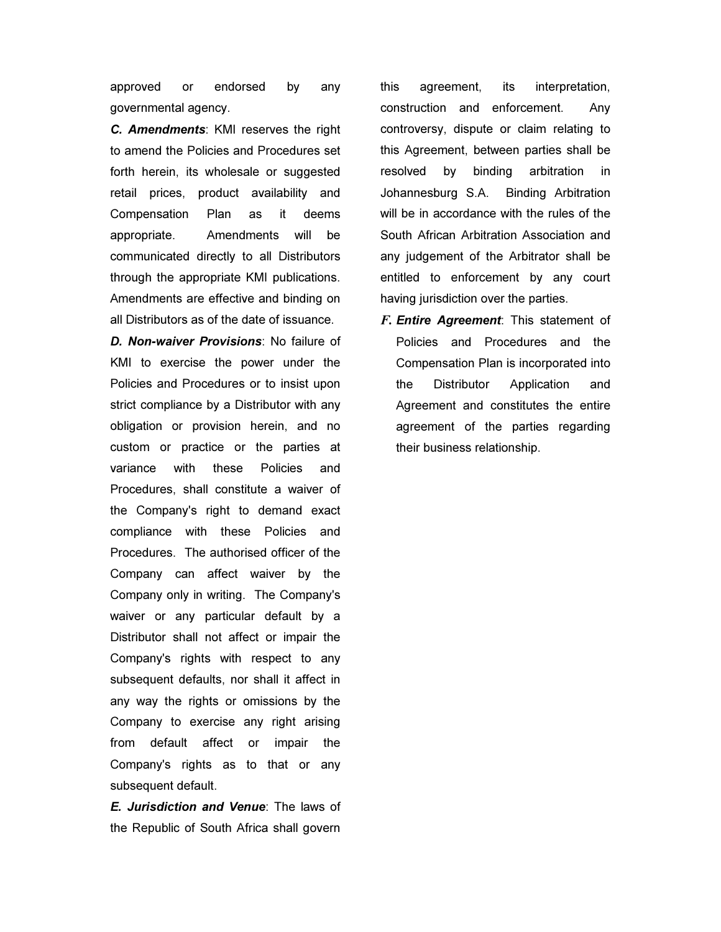approved or endorsed by any governmental agency.

*C. Amendments*: KMI reserves the right to amend the Policies and Procedures set forth herein, its wholesale or suggested retail prices, product availability and Compensation Plan as it deems appropriate. Amendments will be communicated directly to all Distributors through the appropriate KMI publications. Amendments are effective and binding on all Distributors as of the date of issuance.

*D. Non-waiver Provisions*: No failure of KMI to exercise the power under the Policies and Procedures or to insist upon strict compliance by a Distributor with any obligation or provision herein, and no custom or practice or the parties at variance with these Policies and Procedures, shall constitute a waiver of the Company's right to demand exact compliance with these Policies and Procedures. The authorised officer of the Company can affect waiver by the Company only in writing. The Company's waiver or any particular default by a Distributor shall not affect or impair the Company's rights with respect to any subsequent defaults, nor shall it affect in any way the rights or omissions by the Company to exercise any right arising from default affect or impair the Company's rights as to that or any subsequent default.

*E. Jurisdiction and Venue*: The laws of the Republic of South Africa shall govern this agreement, its interpretation, construction and enforcement. Any controversy, dispute or claim relating to this Agreement, between parties shall be resolved by binding arbitration in Johannesburg S.A. Binding Arbitration will be in accordance with the rules of the South African Arbitration Association and any judgement of the Arbitrator shall be entitled to enforcement by any court having jurisdiction over the parties.

F. *Entire Agreement*: This statement of Policies and Procedures and the Compensation Plan is incorporated into the Distributor Application and Agreement and constitutes the entire agreement of the parties regarding their business relationship.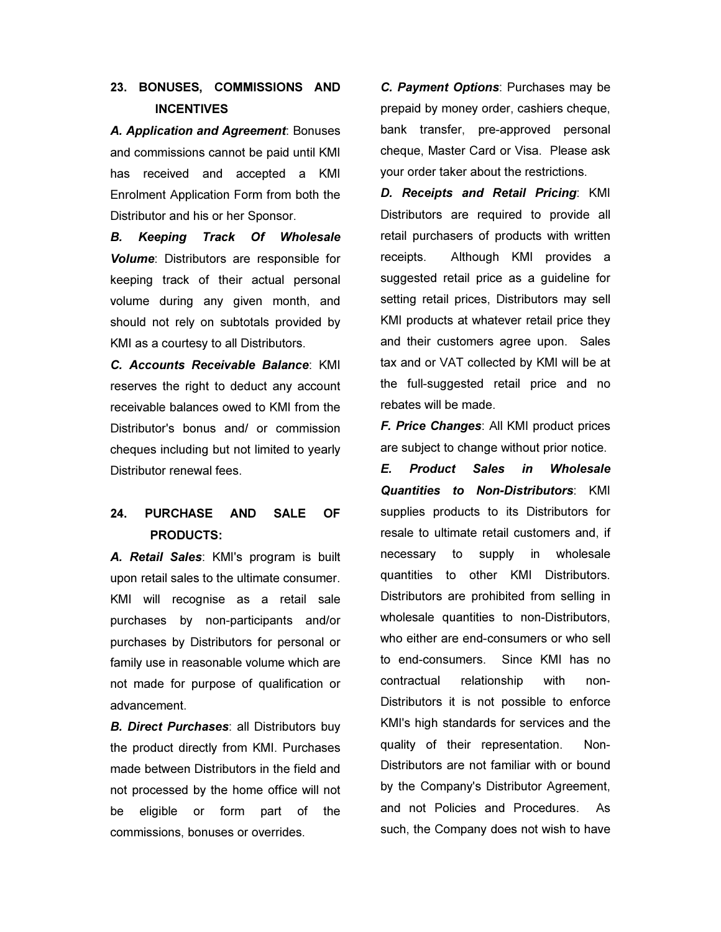# 23. BONUSES, COMMISSIONS AND **INCENTIVES**

*A. Application and Agreement*: Bonuses and commissions cannot be paid until KMI has received and accepted a KMI Enrolment Application Form from both the Distributor and his or her Sponsor.

*B. Keeping Track Of Wholesale Volume*: Distributors are responsible for keeping track of their actual personal volume during any given month, and should not rely on subtotals provided by KMI as a courtesy to all Distributors.

*C. Accounts Receivable Balance*: KMI reserves the right to deduct any account receivable balances owed to KMI from the Distributor's bonus and/ or commission cheques including but not limited to yearly Distributor renewal fees.

# 24. PURCHASE AND SALE OF PRODUCTS:

*A. Retail Sales*: KMI's program is built upon retail sales to the ultimate consumer. KMI will recognise as a retail sale purchases by non-participants and/or purchases by Distributors for personal or family use in reasonable volume which are not made for purpose of qualification or advancement.

*B. Direct Purchases*: all Distributors buy the product directly from KMI. Purchases made between Distributors in the field and not processed by the home office will not be eligible or form part of the commissions, bonuses or overrides.

*C. Payment Options*: Purchases may be prepaid by money order, cashiers cheque, bank transfer, pre-approved personal cheque, Master Card or Visa. Please ask your order taker about the restrictions.

*D. Receipts and Retail Pricing*: KMI Distributors are required to provide all retail purchasers of products with written receipts. Although KMI provides a suggested retail price as a guideline for setting retail prices, Distributors may sell KMI products at whatever retail price they and their customers agree upon. Sales tax and or VAT collected by KMI will be at the full-suggested retail price and no rebates will be made.

*F. Price Changes*: All KMI product prices are subject to change without prior notice.

*E. Product Sales in Wholesale Quantities to Non-Distributors*: KMI supplies products to its Distributors for resale to ultimate retail customers and, if necessary to supply in wholesale quantities to other KMI Distributors. Distributors are prohibited from selling in wholesale quantities to non-Distributors, who either are end-consumers or who sell to end-consumers. Since KMI has no contractual relationship with non-Distributors it is not possible to enforce KMI's high standards for services and the quality of their representation. Non-Distributors are not familiar with or bound by the Company's Distributor Agreement, and not Policies and Procedures. As such, the Company does not wish to have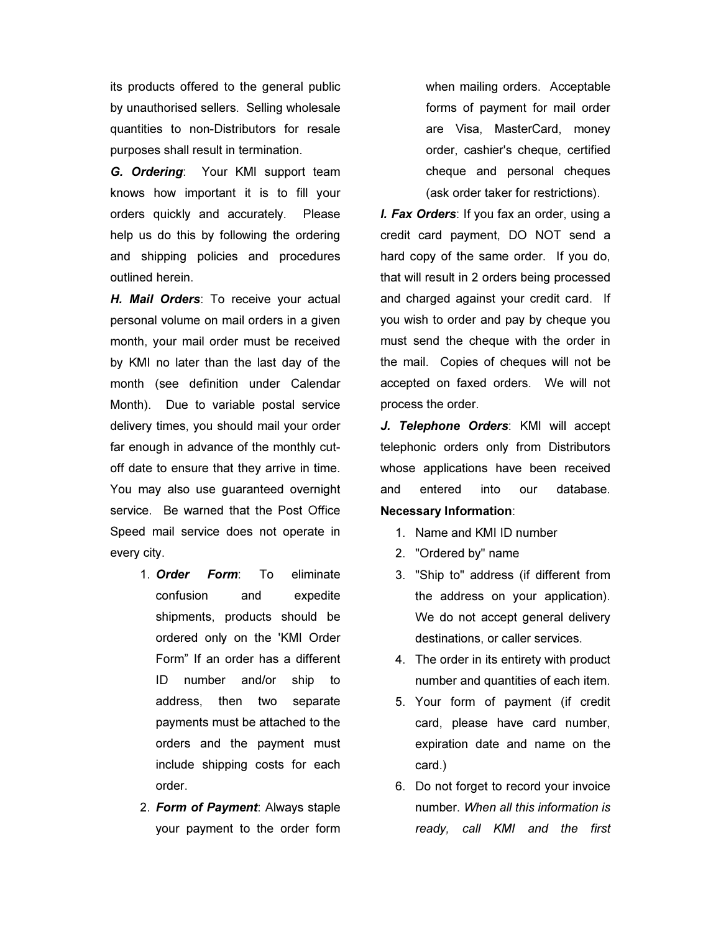its products offered to the general public by unauthorised sellers. Selling wholesale quantities to non-Distributors for resale purposes shall result in termination.

*G. Ordering*: Your KMI support team knows how important it is to fill your orders quickly and accurately. Please help us do this by following the ordering and shipping policies and procedures outlined herein.

*H. Mail Orders*: To receive your actual personal volume on mail orders in a given month, your mail order must be received by KMI no later than the last day of the month (see definition under Calendar Month). Due to variable postal service delivery times, you should mail your order far enough in advance of the monthly cutoff date to ensure that they arrive in time. You may also use guaranteed overnight service. Be warned that the Post Office Speed mail service does not operate in every city.

- 1. *Order Form*: To eliminate confusion and expedite shipments, products should be ordered only on the 'KMI Order Form" If an order has a different ID number and/or ship to address, then two separate payments must be attached to the orders and the payment must include shipping costs for each order.
- 2. *Form of Payment*: Always staple your payment to the order form

when mailing orders. Acceptable forms of payment for mail order are Visa, MasterCard, money order, cashier's cheque, certified cheque and personal cheques (ask order taker for restrictions).

*I. Fax Orders*: If you fax an order, using a credit card payment, DO NOT send a hard copy of the same order. If you do, that will result in 2 orders being processed and charged against your credit card. If you wish to order and pay by cheque you must send the cheque with the order in the mail. Copies of cheques will not be accepted on faxed orders. We will not process the order.

*J. Telephone Orders*: KMI will accept telephonic orders only from Distributors whose applications have been received and entered into our database. Necessary Information:

- 1. Name and KMI ID number
- 2. "Ordered by" name
- 3. "Ship to" address (if different from the address on your application). We do not accept general delivery destinations, or caller services.
- 4. The order in its entirety with product number and quantities of each item.
- 5. Your form of payment (if credit card, please have card number, expiration date and name on the card.)
- 6. Do not forget to record your invoice number. When all this information is ready, call KMI and the first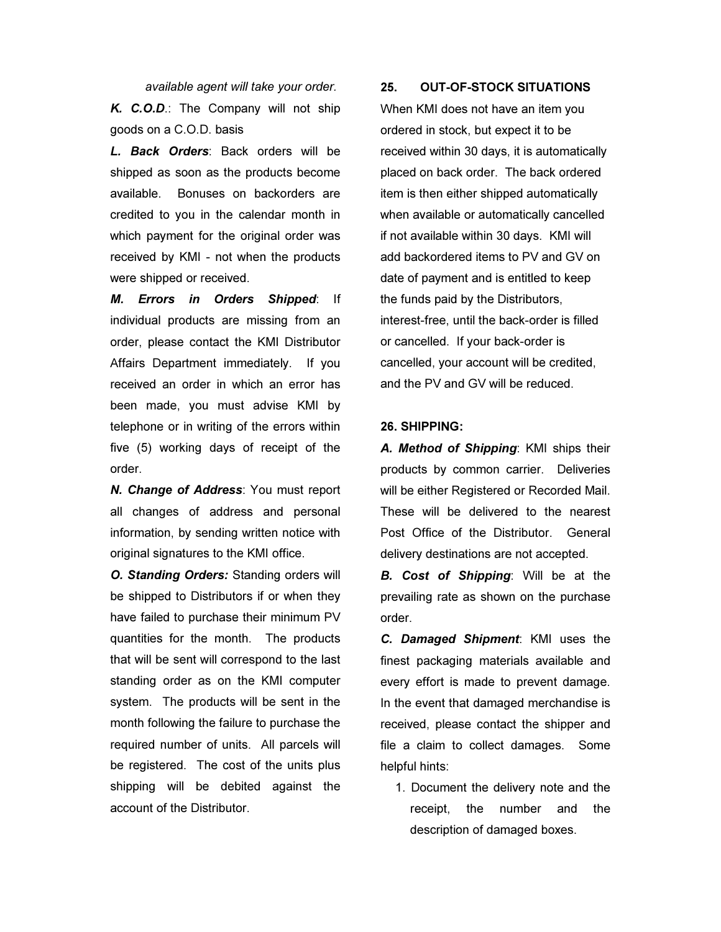available agent will take your order.

*K. C.O.D*.: The Company will not ship goods on a C.O.D. basis

*L. Back Orders*: Back orders will be shipped as soon as the products become available. Bonuses on backorders are credited to you in the calendar month in which payment for the original order was received by KMI - not when the products were shipped or received.

*M. Errors in Orders Shipped*: If individual products are missing from an order, please contact the KMI Distributor Affairs Department immediately. If you received an order in which an error has been made, you must advise KMI by telephone or in writing of the errors within five (5) working days of receipt of the order.

*N. Change of Address*: You must report all changes of address and personal information, by sending written notice with original signatures to the KMI office.

*O. Standing Orders:* Standing orders will be shipped to Distributors if or when they have failed to purchase their minimum PV quantities for the month. The products that will be sent will correspond to the last standing order as on the KMI computer system. The products will be sent in the month following the failure to purchase the required number of units. All parcels will be registered. The cost of the units plus shipping will be debited against the account of the Distributor.

## 25. OUT-OF-STOCK SITUATIONS

When KMI does not have an item you ordered in stock, but expect it to be received within 30 days, it is automatically placed on back order. The back ordered item is then either shipped automatically when available or automatically cancelled if not available within 30 days. KMI will add backordered items to PV and GV on date of payment and is entitled to keep the funds paid by the Distributors, interest-free, until the back-order is filled or cancelled. If your back-order is cancelled, your account will be credited, and the PV and GV will be reduced.

## 26. SHIPPING:

*A. Method of Shipping*: KMI ships their products by common carrier. Deliveries will be either Registered or Recorded Mail. These will be delivered to the nearest Post Office of the Distributor. General delivery destinations are not accepted.

*B. Cost of Shipping*: Will be at the prevailing rate as shown on the purchase order.

*C. Damaged Shipment*: KMI uses the finest packaging materials available and every effort is made to prevent damage. In the event that damaged merchandise is received, please contact the shipper and file a claim to collect damages. Some helpful hints:

1. Document the delivery note and the receipt, the number and the description of damaged boxes.